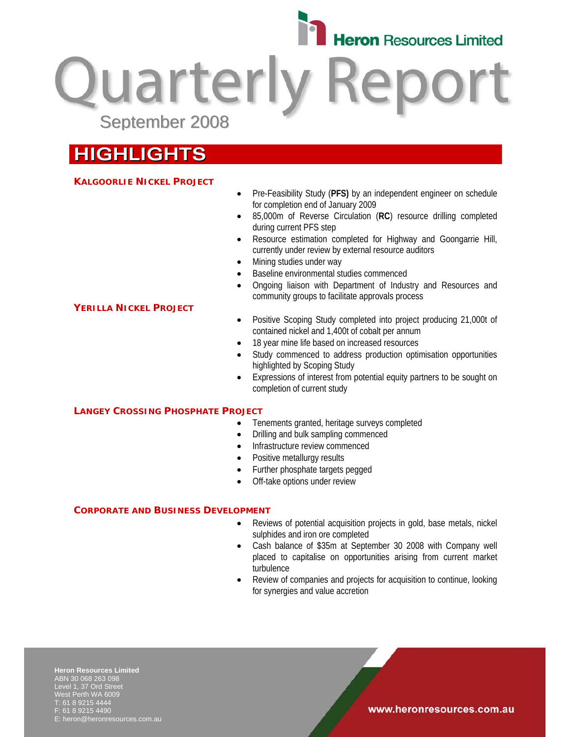

**Quarterly Repo** September 2008

# **HIGHLIGHTS**

### **KALGOORLIE NICKEL PROJECT**

**YERILLA NICKEL PROJECT**

- Pre-Feasibility Study (**PFS)** by an independent engineer on schedule for completion end of January 2009
- 85,000m of Reverse Circulation (**RC**) resource drilling completed during current PFS step
- Resource estimation completed for Highway and Goongarrie Hill, currently under review by external resource auditors
- Mining studies under way
- Baseline environmental studies commenced
- Ongoing liaison with Department of Industry and Resources and community groups to facilitate approvals process
- Positive Scoping Study completed into project producing 21,000t of contained nickel and 1,400t of cobalt per annum
- 18 year mine life based on increased resources
- Study commenced to address production optimisation opportunities highlighted by Scoping Study
- Expressions of interest from potential equity partners to be sought on completion of current study

### **LANGEY CROSSING PHOSPHATE PROJECT**

- Tenements granted, heritage surveys completed
- Drilling and bulk sampling commenced
- Infrastructure review commenced
- Positive metallurgy results
- Further phosphate targets pegged
- Off-take options under review

### **CORPORATE AND BUSINESS DEVELOPMENT**

- Reviews of potential acquisition projects in gold, base metals, nickel sulphides and iron ore completed
- Cash balance of \$35m at September 30 2008 with Company well placed to capitalise on opportunities arising from current market turbulence
- Review of companies and projects for acquisition to continue, looking for synergies and value accretion

**Heron Resources Limited**  ABN 30 068 263 098 Level 1, 37 Ord Street West Perth WA 6009 T: 61 8 9215 4444 F: 61 8 9215 4490 E: heron@heronresources.com.au

### www.heronresources.com.au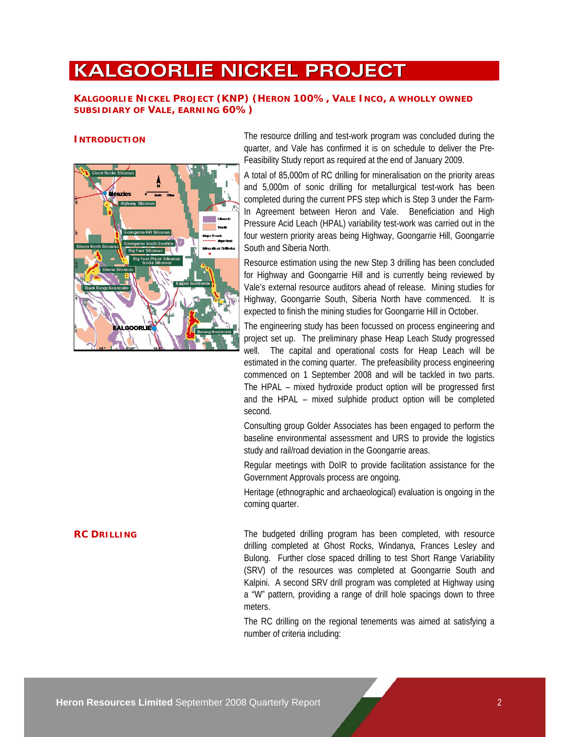# **KALGOORLIE NICKEL PROJECT**

### **KALGOORLIE NICKEL PROJECT (KNP) (HERON 100%, VALE INCO, A WHOLLY OWNED SUBSIDIARY OF VALE, EARNING 60%)**



**INTRODUCTION** The resource drilling and test-work program was concluded during the quarter, and Vale has confirmed it is on schedule to deliver the Pre-Feasibility Study report as required at the end of January 2009.

> A total of 85,000m of RC drilling for mineralisation on the priority areas and 5,000m of sonic drilling for metallurgical test-work has been completed during the current PFS step which is Step 3 under the Farm-In Agreement between Heron and Vale. Beneficiation and High Pressure Acid Leach (HPAL) variability test-work was carried out in the four western priority areas being Highway, Goongarrie Hill, Goongarrie South and Siberia North.

> Resource estimation using the new Step 3 drilling has been concluded for Highway and Goongarrie Hill and is currently being reviewed by Vale's external resource auditors ahead of release. Mining studies for Highway, Goongarrie South, Siberia North have commenced. It is expected to finish the mining studies for Goongarrie Hill in October.

> The engineering study has been focussed on process engineering and project set up. The preliminary phase Heap Leach Study progressed well. The capital and operational costs for Heap Leach will be estimated in the coming quarter. The prefeasibility process engineering commenced on 1 September 2008 and will be tackled in two parts. The HPAL – mixed hydroxide product option will be progressed first and the HPAL – mixed sulphide product option will be completed second.

> Consulting group Golder Associates has been engaged to perform the baseline environmental assessment and URS to provide the logistics study and rail/road deviation in the Goongarrie areas.

> Regular meetings with DoIR to provide facilitation assistance for the Government Approvals process are ongoing.

> Heritage (ethnographic and archaeological) evaluation is ongoing in the coming quarter.

**RC DRILLING** The budgeted drilling program has been completed, with resource drilling completed at Ghost Rocks, Windanya, Frances Lesley and Bulong. Further close spaced drilling to test Short Range Variability (SRV) of the resources was completed at Goongarrie South and Kalpini. A second SRV drill program was completed at Highway using a "W" pattern, providing a range of drill hole spacings down to three meters.

> The RC drilling on the regional tenements was aimed at satisfying a number of criteria including: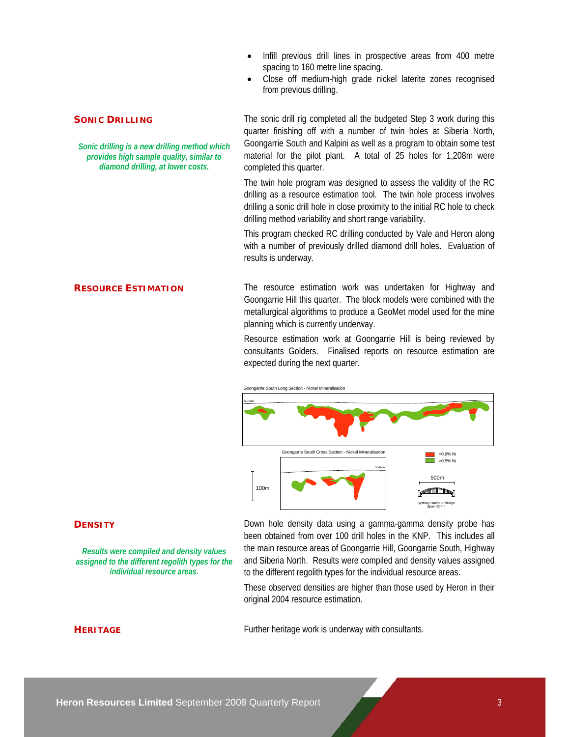- Infill previous drill lines in prospective areas from 400 metre spacing to 160 metre line spacing.
- Close off medium-high grade nickel laterite zones recognised from previous drilling.

### **SONIC DRILLING**

*Sonic drilling is a new drilling method which provides high sample quality, similar to diamond drilling, at lower costs.* 

The sonic drill rig completed all the budgeted Step 3 work during this quarter finishing off with a number of twin holes at Siberia North, Goongarrie South and Kalpini as well as a program to obtain some test material for the pilot plant. A total of 25 holes for 1,208m were completed this quarter.

The twin hole program was designed to assess the validity of the RC drilling as a resource estimation tool. The twin hole process involves drilling a sonic drill hole in close proximity to the initial RC hole to check drilling method variability and short range variability.

This program checked RC drilling conducted by Vale and Heron along with a number of previously drilled diamond drill holes. Evaluation of results is underway.

**RESOURCE ESTIMATION** The resource estimation work was undertaken for Highway and Goongarrie Hill this quarter. The block models were combined with the metallurgical algorithms to produce a GeoMet model used for the mine planning which is currently underway.

> Resource estimation work at Goongarrie Hill is being reviewed by consultants Golders. Finalised reports on resource estimation are expected during the next quarter.



### **DENSITY**

*Results were compiled and density values assigned to the different regolith types for the individual resource areas.*

Down hole density data using a gamma-gamma density probe has been obtained from over 100 drill holes in the KNP. This includes all the main resource areas of Goongarrie Hill, Goongarrie South, Highway and Siberia North. Results were compiled and density values assigned to the different regolith types for the individual resource areas.

These observed densities are higher than those used by Heron in their original 2004 resource estimation.

**HERITAGE** Further heritage work is underway with consultants.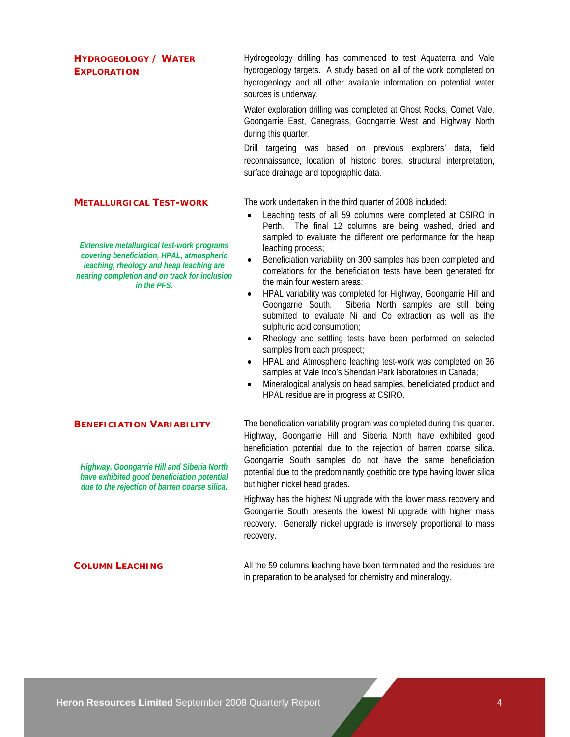### **HYDROGEOLOGY / WATER EXPLORATION**

Hydrogeology drilling has commenced to test Aquaterra and Vale hydrogeology targets. A study based on all of the work completed on hydrogeology and all other available information on potential water sources is underway.

Water exploration drilling was completed at Ghost Rocks, Comet Vale, Goongarrie East, Canegrass, Goongarrie West and Highway North during this quarter.

Drill targeting was based on previous explorers' data, field reconnaissance, location of historic bores, structural interpretation, surface drainage and topographic data.

### **METALLURGICAL TEST-WORK**

*Extensive metallurgical test-work programs covering beneficiation, HPAL, atmospheric leaching, rheology and heap leaching are nearing completion and on track for inclusion in the PFS.* 

### **BENEFICIATION VARIABILITY**

*Highway, Goongarrie Hill and Siberia North have exhibited good beneficiation potential due to the rejection of barren coarse silica.*

The work undertaken in the third quarter of 2008 included:

- Leaching tests of all 59 columns were completed at CSIRO in Perth. The final 12 columns are being washed, dried and sampled to evaluate the different ore performance for the heap leaching process;
- Beneficiation variability on 300 samples has been completed and correlations for the beneficiation tests have been generated for the main four western areas;
- HPAL variability was completed for Highway, Goongarrie Hill and Goongarrie South. Siberia North samples are still being submitted to evaluate Ni and Co extraction as well as the sulphuric acid consumption;
- Rheology and settling tests have been performed on selected samples from each prospect;
- HPAL and Atmospheric leaching test-work was completed on 36 samples at Vale Inco's Sheridan Park laboratories in Canada;
- Mineralogical analysis on head samples, beneficiated product and HPAL residue are in progress at CSIRO.

The beneficiation variability program was completed during this quarter. Highway, Goongarrie Hill and Siberia North have exhibited good beneficiation potential due to the rejection of barren coarse silica. Goongarrie South samples do not have the same beneficiation potential due to the predominantly goethitic ore type having lower silica but higher nickel head grades.

Highway has the highest Ni upgrade with the lower mass recovery and Goongarrie South presents the lowest Ni upgrade with higher mass recovery. Generally nickel upgrade is inversely proportional to mass recovery.

**COLUMN LEACHING** All the 59 columns leaching have been terminated and the residues are in preparation to be analysed for chemistry and mineralogy.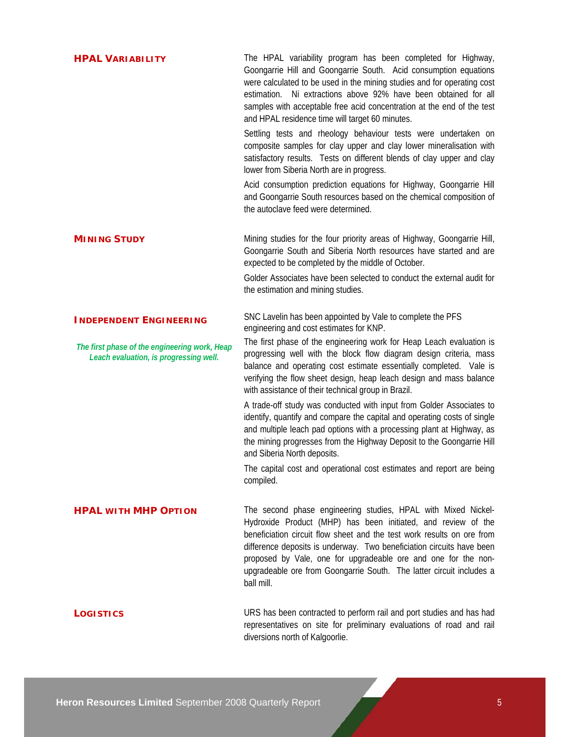| <b>HPAL VARIABILITY</b>                                                                 | The HPAL variability program has been completed for Highway,<br>Goongarrie Hill and Goongarrie South. Acid consumption equations<br>were calculated to be used in the mining studies and for operating cost<br>estimation. Ni extractions above 92% have been obtained for all<br>samples with acceptable free acid concentration at the end of the test<br>and HPAL residence time will target 60 minutes.<br>Settling tests and rheology behaviour tests were undertaken on<br>composite samples for clay upper and clay lower mineralisation with |
|-----------------------------------------------------------------------------------------|------------------------------------------------------------------------------------------------------------------------------------------------------------------------------------------------------------------------------------------------------------------------------------------------------------------------------------------------------------------------------------------------------------------------------------------------------------------------------------------------------------------------------------------------------|
|                                                                                         | satisfactory results. Tests on different blends of clay upper and clay<br>lower from Siberia North are in progress.<br>Acid consumption prediction equations for Highway, Goongarrie Hill                                                                                                                                                                                                                                                                                                                                                            |
|                                                                                         | and Goongarrie South resources based on the chemical composition of<br>the autoclave feed were determined.                                                                                                                                                                                                                                                                                                                                                                                                                                           |
| <b>MINING STUDY</b>                                                                     | Mining studies for the four priority areas of Highway, Goongarrie Hill,<br>Goongarrie South and Siberia North resources have started and are<br>expected to be completed by the middle of October.                                                                                                                                                                                                                                                                                                                                                   |
|                                                                                         | Golder Associates have been selected to conduct the external audit for<br>the estimation and mining studies.                                                                                                                                                                                                                                                                                                                                                                                                                                         |
| <b>INDEPENDENT ENGINEERING</b>                                                          | SNC Lavelin has been appointed by Vale to complete the PFS<br>engineering and cost estimates for KNP.                                                                                                                                                                                                                                                                                                                                                                                                                                                |
| The first phase of the engineering work, Heap<br>Leach evaluation, is progressing well. | The first phase of the engineering work for Heap Leach evaluation is<br>progressing well with the block flow diagram design criteria, mass<br>balance and operating cost estimate essentially completed. Vale is<br>verifying the flow sheet design, heap leach design and mass balance<br>with assistance of their technical group in Brazil.                                                                                                                                                                                                       |
|                                                                                         | A trade-off study was conducted with input from Golder Associates to<br>identify, quantify and compare the capital and operating costs of single<br>and multiple leach pad options with a processing plant at Highway, as<br>the mining progresses from the Highway Deposit to the Goongarrie Hill<br>and Siberia North deposits.                                                                                                                                                                                                                    |
|                                                                                         | The capital cost and operational cost estimates and report are being<br>compiled.                                                                                                                                                                                                                                                                                                                                                                                                                                                                    |
| <b>HPAL WITH MHP OPTION</b>                                                             | The second phase engineering studies, HPAL with Mixed Nickel-<br>Hydroxide Product (MHP) has been initiated, and review of the<br>beneficiation circuit flow sheet and the test work results on ore from<br>difference deposits is underway. Two beneficiation circuits have been<br>proposed by Vale, one for upgradeable ore and one for the non-<br>upgradeable ore from Goongarrie South. The latter circuit includes a<br>ball mill.                                                                                                            |
| <b>LOGISTICS</b>                                                                        | URS has been contracted to perform rail and port studies and has had<br>representatives on site for preliminary evaluations of road and rail<br>diversions north of Kalgoorlie.                                                                                                                                                                                                                                                                                                                                                                      |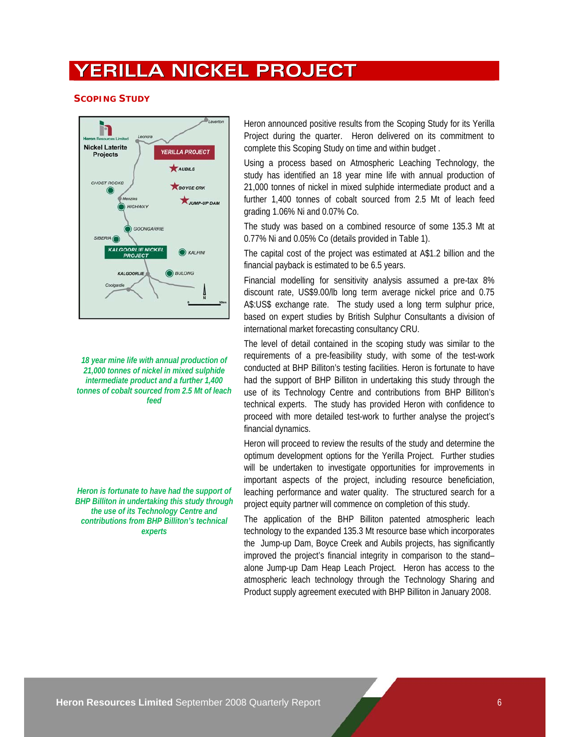## **YERILLA NICKEL PROJECT**

### **SCOPING STUDY**



*18 year mine life with annual production of 21,000 tonnes of nickel in mixed sulphide intermediate product and a further 1,400 tonnes of cobalt sourced from 2.5 Mt of leach feed* 

*Heron is fortunate to have had the support of BHP Billiton in undertaking this study through the use of its Technology Centre and contributions from BHP Billiton's technical experts* 

Heron announced positive results from the Scoping Study for its Yerilla Project during the quarter. Heron delivered on its commitment to complete this Scoping Study on time and within budget .

Using a process based on Atmospheric Leaching Technology, the study has identified an 18 year mine life with annual production of 21,000 tonnes of nickel in mixed sulphide intermediate product and a further 1,400 tonnes of cobalt sourced from 2.5 Mt of leach feed grading 1.06% Ni and 0.07% Co.

The study was based on a combined resource of some 135.3 Mt at 0.77% Ni and 0.05% Co (details provided in Table 1).

The capital cost of the project was estimated at A\$1.2 billion and the financial payback is estimated to be 6.5 years.

Financial modelling for sensitivity analysis assumed a pre-tax 8% discount rate, US\$9.00/lb long term average nickel price and 0.75 A\$:US\$ exchange rate. The study used a long term sulphur price, based on expert studies by British Sulphur Consultants a division of international market forecasting consultancy CRU.

The level of detail contained in the scoping study was similar to the requirements of a pre-feasibility study, with some of the test-work conducted at BHP Billiton's testing facilities. Heron is fortunate to have had the support of BHP Billiton in undertaking this study through the use of its Technology Centre and contributions from BHP Billiton's technical experts. The study has provided Heron with confidence to proceed with more detailed test-work to further analyse the project's financial dynamics.

Heron will proceed to review the results of the study and determine the optimum development options for the Yerilla Project. Further studies will be undertaken to investigate opportunities for improvements in important aspects of the project, including resource beneficiation, leaching performance and water quality. The structured search for a project equity partner will commence on completion of this study.

The application of the BHP Billiton patented atmospheric leach technology to the expanded 135.3 Mt resource base which incorporates the Jump-up Dam, Boyce Creek and Aubils projects, has significantly improved the project's financial integrity in comparison to the stand– alone Jump-up Dam Heap Leach Project. Heron has access to the atmospheric leach technology through the Technology Sharing and Product supply agreement executed with BHP Billiton in January 2008.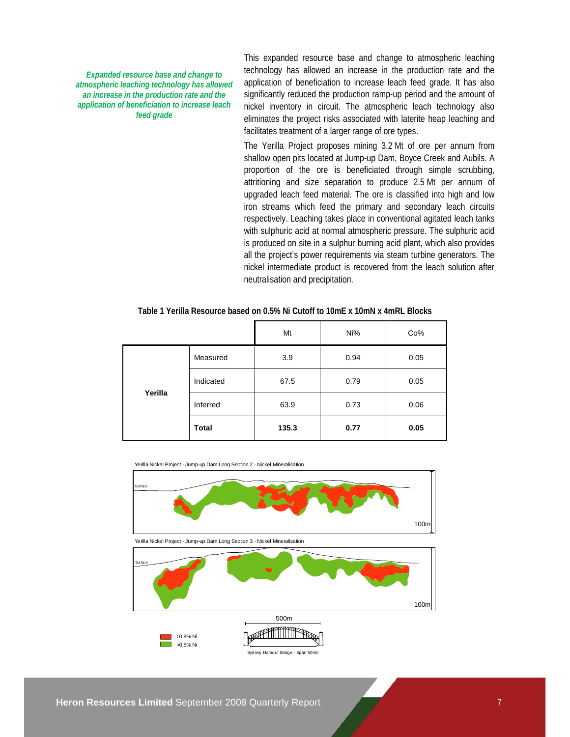*Expanded resource base and change to atmospheric leaching technology has allowed an increase in the production rate and the application of beneficiation to increase leach feed grade* 

This expanded resource base and change to atmospheric leaching technology has allowed an increase in the production rate and the application of beneficiation to increase leach feed grade. It has also significantly reduced the production ramp-up period and the amount of nickel inventory in circuit. The atmospheric leach technology also eliminates the project risks associated with laterite heap leaching and facilitates treatment of a larger range of ore types.

The Yerilla Project proposes mining 3.2 Mt of ore per annum from shallow open pits located at Jump-up Dam, Boyce Creek and Aubils. A proportion of the ore is beneficiated through simple scrubbing, attritioning and size separation to produce 2.5 Mt per annum of upgraded leach feed material. The ore is classified into high and low iron streams which feed the primary and secondary leach circuits respectively. Leaching takes place in conventional agitated leach tanks with sulphuric acid at normal atmospheric pressure. The sulphuric acid is produced on site in a sulphur burning acid plant, which also provides all the project's power requirements via steam turbine generators. The nickel intermediate product is recovered from the leach solution after neutralisation and precipitation.

|         |              | Mt    | Ni%  | Co%  |
|---------|--------------|-------|------|------|
|         | Measured     | 3.9   | 0.94 | 0.05 |
| Yerilla | Indicated    | 67.5  | 0.79 | 0.05 |
|         | Inferred     | 63.9  | 0.73 | 0.06 |
|         | <b>Total</b> | 135.3 | 0.77 | 0.05 |

### **Table 1 Yerilla Resource based on 0.5% Ni Cutoff to 10mE x 10mN x 4mRL Blocks**

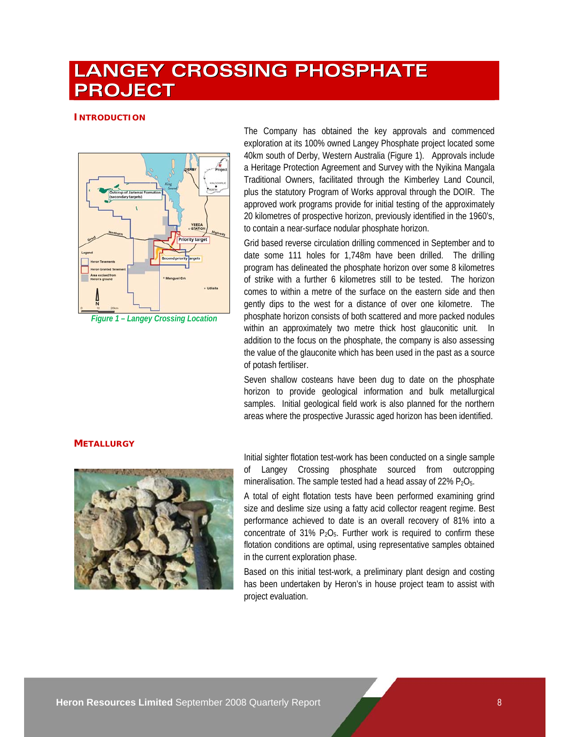# **LANGEY CROSSING PHOSPHATE PROJECT**

### **INTRODUCTION**



*Figure 1 – Langey Crossing Location* 

The Company has obtained the key approvals and commenced exploration at its 100% owned Langey Phosphate project located some 40km south of Derby, Western Australia (Figure 1). Approvals include a Heritage Protection Agreement and Survey with the Nyikina Mangala Traditional Owners, facilitated through the Kimberley Land Council, plus the statutory Program of Works approval through the DOIR. The approved work programs provide for initial testing of the approximately 20 kilometres of prospective horizon, previously identified in the 1960's, to contain a near-surface nodular phosphate horizon.

Grid based reverse circulation drilling commenced in September and to date some 111 holes for 1,748m have been drilled. The drilling program has delineated the phosphate horizon over some 8 kilometres of strike with a further 6 kilometres still to be tested. The horizon comes to within a metre of the surface on the eastern side and then gently dips to the west for a distance of over one kilometre. The phosphate horizon consists of both scattered and more packed nodules within an approximately two metre thick host glauconitic unit. In addition to the focus on the phosphate, the company is also assessing the value of the glauconite which has been used in the past as a source of potash fertiliser.

Seven shallow costeans have been dug to date on the phosphate horizon to provide geological information and bulk metallurgical samples. Initial geological field work is also planned for the northern areas where the prospective Jurassic aged horizon has been identified.

### **METALLURGY**



Initial sighter flotation test-work has been conducted on a single sample Langey Crossing phosphate sourced from outcropping mineralisation. The sample tested had a head assay of 22%  $P_2O_5$ .

A total of eight flotation tests have been performed examining grind size and deslime size using a fatty acid collector reagent regime. Best performance achieved to date is an overall recovery of 81% into a concentrate of 31%  $P_2O_5$ . Further work is required to confirm these flotation conditions are optimal, using representative samples obtained in the current exploration phase.

Based on this initial test-work, a preliminary plant design and costing has been undertaken by Heron's in house project team to assist with project evaluation.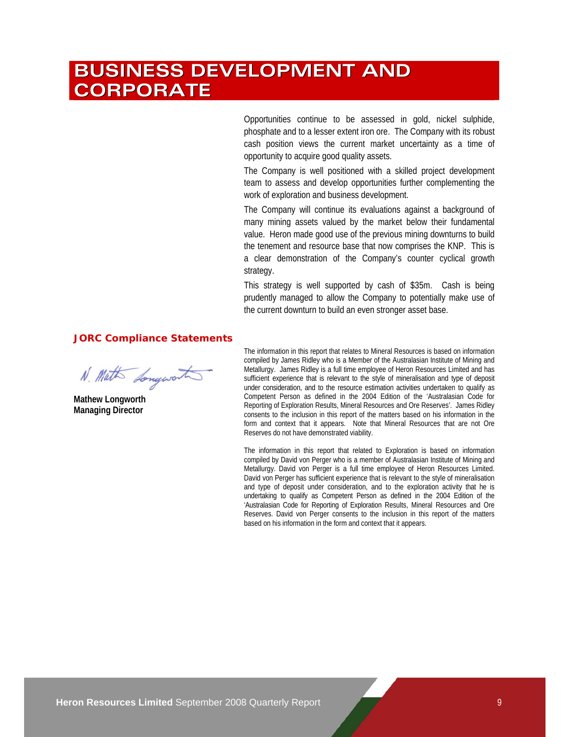# **BUSINESS DEVELOPMENT AND CORPORATE**

Opportunities continue to be assessed in gold, nickel sulphide, phosphate and to a lesser extent iron ore. The Company with its robust cash position views the current market uncertainty as a time of opportunity to acquire good quality assets.

The Company is well positioned with a skilled project development team to assess and develop opportunities further complementing the work of exploration and business development.

The Company will continue its evaluations against a background of many mining assets valued by the market below their fundamental value. Heron made good use of the previous mining downturns to build the tenement and resource base that now comprises the KNP. This is a clear demonstration of the Company's counter cyclical growth strategy.

This strategy is well supported by cash of \$35m. Cash is being prudently managed to allow the Company to potentially make use of the current downturn to build an even stronger asset base.

### **JORC Compliance Statements**

N. Math Longworth

**Mathew Longworth Managing Director** 

The information in this report that relates to Mineral Resources is based on information compiled by James Ridley who is a Member of the Australasian Institute of Mining and Metallurgy. James Ridley is a full time employee of Heron Resources Limited and has sufficient experience that is relevant to the style of mineralisation and type of deposit under consideration, and to the resource estimation activities undertaken to qualify as Competent Person as defined in the 2004 Edition of the 'Australasian Code for Reporting of Exploration Results, Mineral Resources and Ore Reserves'. James Ridley consents to the inclusion in this report of the matters based on his information in the form and context that it appears. Note that Mineral Resources that are not Ore Reserves do not have demonstrated viability.

The information in this report that related to Exploration is based on information compiled by David von Perger who is a member of Australasian Institute of Mining and Metallurgy. David von Perger is a full time employee of Heron Resources Limited. David von Perger has sufficient experience that is relevant to the style of mineralisation and type of deposit under consideration, and to the exploration activity that he is undertaking to qualify as Competent Person as defined in the 2004 Edition of the 'Australasian Code for Reporting of Exploration Results, Mineral Resources and Ore Reserves. David von Perger consents to the inclusion in this report of the matters based on his information in the form and context that it appears.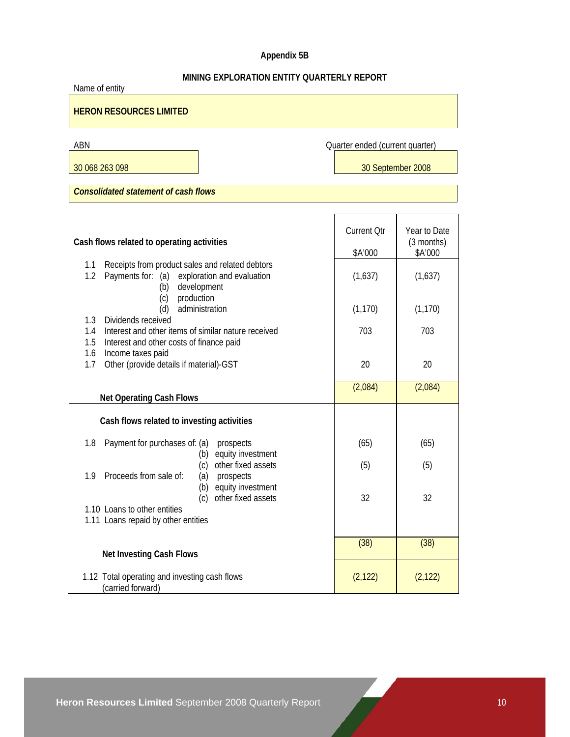## **Appendix 5B**

## **MINING EXPLORATION ENTITY QUARTERLY REPORT**

| Name of entity                                                                                                                      |                                 |                            |  |  |
|-------------------------------------------------------------------------------------------------------------------------------------|---------------------------------|----------------------------|--|--|
| <b>HERON RESOURCES LIMITED</b>                                                                                                      |                                 |                            |  |  |
| ABN                                                                                                                                 | Quarter ended (current quarter) |                            |  |  |
| 30 068 263 098                                                                                                                      |                                 | 30 September 2008          |  |  |
| <b>Consolidated statement of cash flows</b>                                                                                         |                                 |                            |  |  |
|                                                                                                                                     |                                 |                            |  |  |
| Cash flows related to operating activities                                                                                          | <b>Current Qtr</b>              | Year to Date<br>(3 months) |  |  |
|                                                                                                                                     | \$A'000                         | \$A'000                    |  |  |
| 1.1<br>Receipts from product sales and related debtors<br>1.2<br>Payments for: (a) exploration and evaluation<br>development<br>(b) | (1,637)                         | (1,637)                    |  |  |
| production<br>(c)<br>administration<br>(d)<br>Dividends received<br>1.3                                                             | (1, 170)                        | (1, 170)                   |  |  |
| Interest and other items of similar nature received<br>1.4<br>1.5<br>Interest and other costs of finance paid                       | 703                             | 703                        |  |  |
| Income taxes paid<br>1.6<br>Other (provide details if material)-GST<br>1.7                                                          | 20                              | 20                         |  |  |
| <b>Net Operating Cash Flows</b>                                                                                                     | (2,084)                         | (2,084)                    |  |  |
| Cash flows related to investing activities                                                                                          |                                 |                            |  |  |
| 1.8<br>Payment for purchases of: (a)<br>prospects<br>equity investment<br>(b)                                                       | (65)                            | (65)                       |  |  |
| other fixed assets<br>(c)<br>Proceeds from sale of:<br>1.9<br>(a)<br>prospects                                                      | (5)                             | (5)                        |  |  |
| equity investment<br>(b)<br>other fixed assets<br>(c)<br>1.10 Loans to other entities                                               | 32                              | 32                         |  |  |
| 1.11 Loans repaid by other entities                                                                                                 |                                 |                            |  |  |
| <b>Net Investing Cash Flows</b>                                                                                                     | (38)                            | (38)                       |  |  |
| 1.12 Total operating and investing cash flows<br>(carried forward)                                                                  | (2, 122)                        | (2, 122)                   |  |  |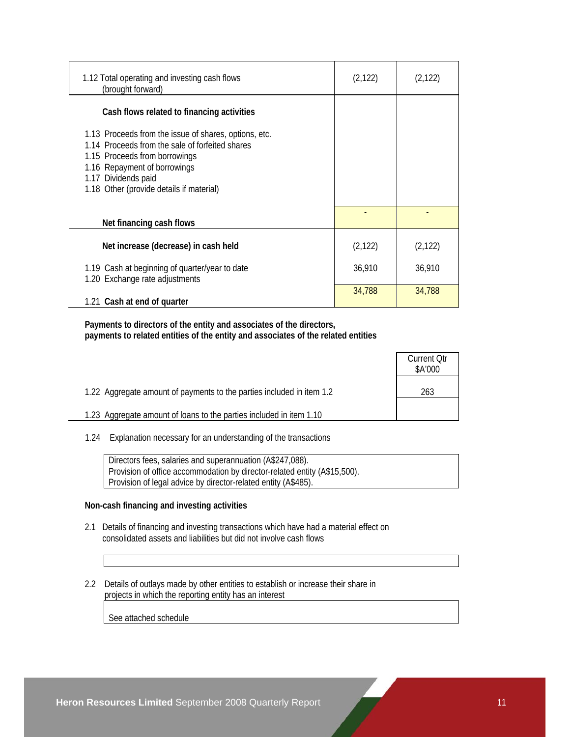| 1.12 Total operating and investing cash flows<br>(brought forward)                                                                                                                                                                           | (2, 122) | (2, 122) |
|----------------------------------------------------------------------------------------------------------------------------------------------------------------------------------------------------------------------------------------------|----------|----------|
| Cash flows related to financing activities                                                                                                                                                                                                   |          |          |
| 1.13 Proceeds from the issue of shares, options, etc.<br>1.14 Proceeds from the sale of forfeited shares<br>1.15 Proceeds from borrowings<br>1.16 Repayment of borrowings<br>1.17 Dividends paid<br>1.18 Other (provide details if material) |          |          |
| Net financing cash flows                                                                                                                                                                                                                     |          |          |
| Net increase (decrease) in cash held                                                                                                                                                                                                         | (2, 122) | (2, 122) |
| 1.19 Cash at beginning of quarter/year to date<br>1.20 Exchange rate adjustments                                                                                                                                                             | 36,910   | 36,910   |
| 1.21 Cash at end of quarter                                                                                                                                                                                                                  | 34,788   | 34,788   |

 **Payments to directors of the entity and associates of the directors, payments to related entities of the entity and associates of the related entities** 

|                                                                       | Current Otr<br>\$A'000 |
|-----------------------------------------------------------------------|------------------------|
| 1.22 Aggregate amount of payments to the parties included in item 1.2 | 263                    |
| 1.23 Aggregate amount of loans to the parties included in item 1.10   |                        |

1.24 Explanation necessary for an understanding of the transactions

 Directors fees, salaries and superannuation (A\$247,088). Provision of office accommodation by director-related entity (A\$15,500). Provision of legal advice by director-related entity (A\$485).

### **Non-cash financing and investing activities**

- 2.1 Details of financing and investing transactions which have had a material effect on consolidated assets and liabilities but did not involve cash flows
- 2.2 Details of outlays made by other entities to establish or increase their share in projects in which the reporting entity has an interest

See attached schedule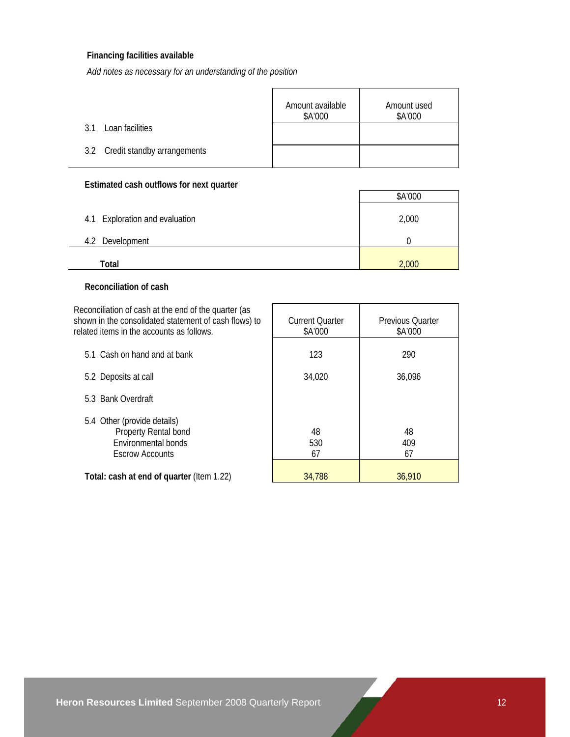### **Financing facilities available**

*Add notes as necessary for an understanding of the position*

|                                 | Amount available<br>\$A'000 | Amount used<br>\$A'000 |
|---------------------------------|-----------------------------|------------------------|
| Loan facilities<br>3.1          |                             |                        |
| 3.2 Credit standby arrangements |                             |                        |

### **Estimated cash outflows for next quarter**

|                                | \$A'000 |
|--------------------------------|---------|
| 4.1 Exploration and evaluation | 2,000   |
| Development<br>4.2             |         |
| Total                          | 2,000   |

### **Reconciliation of cash**

Reconciliation of cash at the end of the quarter (as shown in the consolidated statement of cash flows) to related item

| related items in the accounts as follows.                                                            | \$A'000         | \$A'000         |
|------------------------------------------------------------------------------------------------------|-----------------|-----------------|
| 5.1 Cash on hand and at bank                                                                         | 123             | 290             |
| 5.2 Deposits at call                                                                                 | 34,020          | 36,096          |
| 5.3 Bank Overdraft                                                                                   |                 |                 |
| 5.4 Other (provide details)<br>Property Rental bond<br>Environmental bonds<br><b>Escrow Accounts</b> | 48<br>530<br>67 | 48<br>409<br>67 |
| Total: cash at end of quarter (Item 1.22)                                                            | 34,788          | 36,910          |

Current Quarter

Previous Quarter

 $\overline{\phantom{a}}$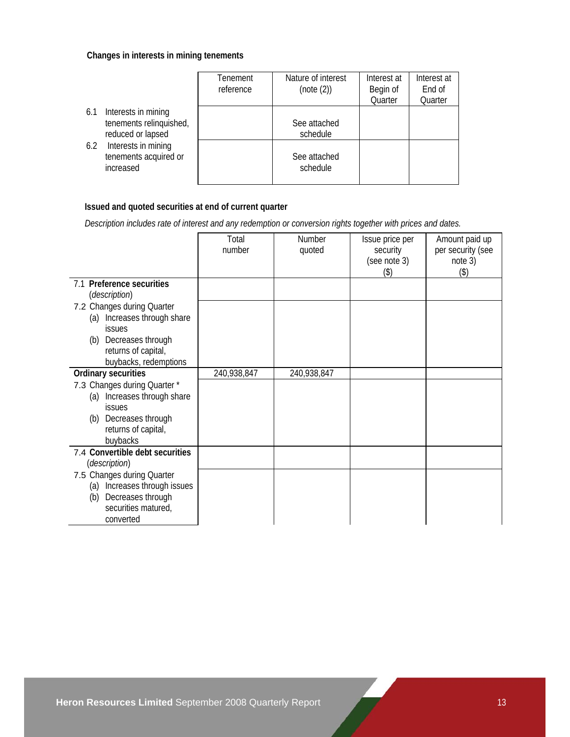### **Changes in interests in mining tenements**

|                                                                            | Tenement<br>reference | Nature of interest<br>(note (2)) | Interest at<br>Begin of<br>Quarter | Interest at<br>End of<br>Quarter |
|----------------------------------------------------------------------------|-----------------------|----------------------------------|------------------------------------|----------------------------------|
| Interests in mining<br>6.1<br>tenements relinquished,<br>reduced or lapsed |                       | See attached<br>schedule         |                                    |                                  |
| Interests in mining<br>6.2<br>tenements acquired or<br>increased           |                       | See attached<br>schedule         |                                    |                                  |

## **Issued and quoted securities at end of current quarter**

 *Description includes rate of interest and any redemption or conversion rights together with prices and dates.* 

|                                                                                                                                                                        | Total<br>number | Number<br>quoted | Issue price per<br>security | Amount paid up<br>per security (see |
|------------------------------------------------------------------------------------------------------------------------------------------------------------------------|-----------------|------------------|-----------------------------|-------------------------------------|
|                                                                                                                                                                        |                 |                  | (see note 3)<br>(3)         | note 3)<br>(3)                      |
| 7.1 Preference securities<br>(description)                                                                                                                             |                 |                  |                             |                                     |
| 7.2 Changes during Quarter<br>(a) Increases through share<br><b>issues</b><br>(b) Decreases through<br>returns of capital,                                             |                 |                  |                             |                                     |
| buybacks, redemptions                                                                                                                                                  |                 |                  |                             |                                     |
| <b>Ordinary securities</b><br>7.3 Changes during Quarter *<br>(a) Increases through share<br><b>issues</b><br>(b) Decreases through<br>returns of capital,<br>buybacks | 240,938,847     | 240,938,847      |                             |                                     |
| 7.4 Convertible debt securities<br>(description)                                                                                                                       |                 |                  |                             |                                     |
| 7.5 Changes during Quarter<br>(a) Increases through issues<br>Decreases through<br>(b)<br>securities matured,<br>converted                                             |                 |                  |                             |                                     |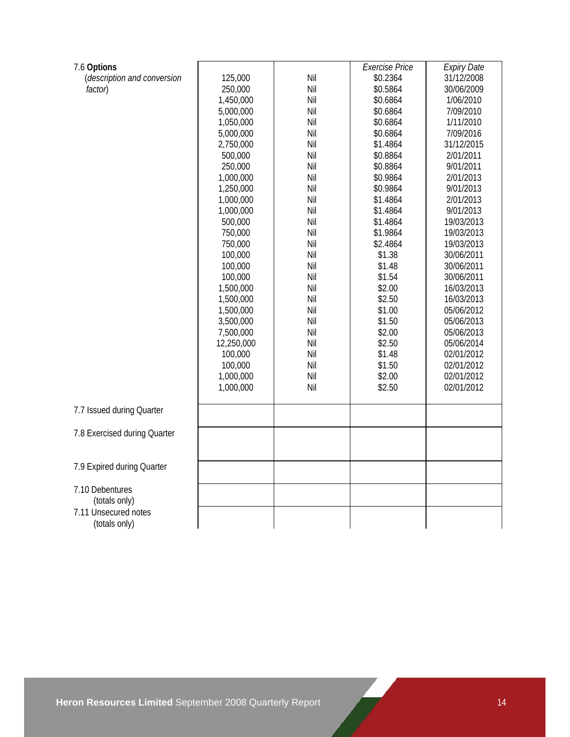| 7.6 Options                  |            |     | <b>Exercise Price</b> | <b>Expiry Date</b> |
|------------------------------|------------|-----|-----------------------|--------------------|
| (description and conversion  | 125,000    | Nil | \$0.2364              | 31/12/2008         |
| factor)                      | 250,000    | Nil | \$0.5864              | 30/06/2009         |
|                              | 1,450,000  | Nil | \$0.6864              | 1/06/2010          |
|                              | 5,000,000  | Nil | \$0.6864              | 7/09/2010          |
|                              | 1,050,000  | Nil | \$0.6864              | 1/11/2010          |
|                              | 5,000,000  | Nil | \$0.6864              | 7/09/2016          |
|                              | 2,750,000  | Nil | \$1.4864              | 31/12/2015         |
|                              | 500,000    | Nil | \$0.8864              | 2/01/2011          |
|                              | 250,000    | Nil | \$0.8864              | 9/01/2011          |
|                              | 1,000,000  | Nil | \$0.9864              | 2/01/2013          |
|                              | 1,250,000  | Nil | \$0.9864              | 9/01/2013          |
|                              | 1,000,000  | Nil | \$1.4864              | 2/01/2013          |
|                              | 1,000,000  | Nil | \$1.4864              | 9/01/2013          |
|                              | 500,000    | Nil | \$1.4864              | 19/03/2013         |
|                              | 750,000    | Nil | \$1.9864              | 19/03/2013         |
|                              | 750,000    | Nil | \$2.4864              | 19/03/2013         |
|                              | 100,000    | Nil | \$1.38                | 30/06/2011         |
|                              | 100,000    | Nil | \$1.48                | 30/06/2011         |
|                              | 100,000    | Nil | \$1.54                | 30/06/2011         |
|                              | 1,500,000  | Nil | \$2.00                | 16/03/2013         |
|                              | 1,500,000  | Nil | \$2.50                | 16/03/2013         |
|                              | 1,500,000  | Nil | \$1.00                | 05/06/2012         |
|                              | 3,500,000  | Nil | \$1.50                | 05/06/2013         |
|                              | 7,500,000  | Nil | \$2.00                | 05/06/2013         |
|                              | 12,250,000 | Nil | \$2.50                | 05/06/2014         |
|                              | 100,000    | Nil | \$1.48                | 02/01/2012         |
|                              | 100,000    | Nil | \$1.50                | 02/01/2012         |
|                              | 1,000,000  | Nil | \$2.00                | 02/01/2012         |
|                              | 1,000,000  | Nil | \$2.50                | 02/01/2012         |
|                              |            |     |                       |                    |
| 7.7 Issued during Quarter    |            |     |                       |                    |
|                              |            |     |                       |                    |
| 7.8 Exercised during Quarter |            |     |                       |                    |
|                              |            |     |                       |                    |
| 7.9 Expired during Quarter   |            |     |                       |                    |
|                              |            |     |                       |                    |
| 7.10 Debentures              |            |     |                       |                    |
| (totals only)                |            |     |                       |                    |
| 7.11 Unsecured notes         |            |     |                       |                    |
| (totals only)                |            |     |                       |                    |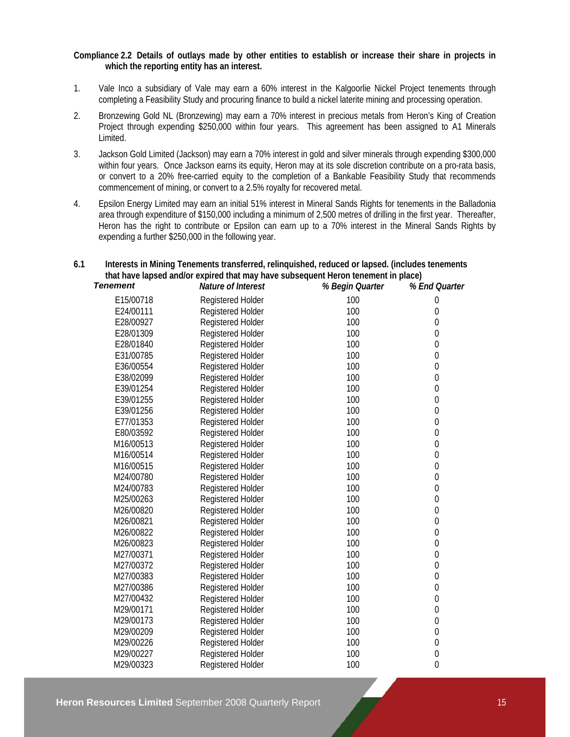### **Compliance 2.2 Details of outlays made by other entities to establish or increase their share in projects in which the reporting entity has an interest.**

- 1. Vale Inco a subsidiary of Vale may earn a 60% interest in the Kalgoorlie Nickel Project tenements through completing a Feasibility Study and procuring finance to build a nickel laterite mining and processing operation.
- 2. Bronzewing Gold NL (Bronzewing) may earn a 70% interest in precious metals from Heron's King of Creation Project through expending \$250,000 within four years. This agreement has been assigned to A1 Minerals Limited.
- 3. Jackson Gold Limited (Jackson) may earn a 70% interest in gold and silver minerals through expending \$300,000 within four years. Once Jackson earns its equity, Heron may at its sole discretion contribute on a pro-rata basis, or convert to a 20% free-carried equity to the completion of a Bankable Feasibility Study that recommends commencement of mining, or convert to a 2.5% royalty for recovered metal.
- 4. Epsilon Energy Limited may earn an initial 51% interest in Mineral Sands Rights for tenements in the Balladonia area through expenditure of \$150,000 including a minimum of 2,500 metres of drilling in the first year. Thereafter, Heron has the right to contribute or Epsilon can earn up to a 70% interest in the Mineral Sands Rights by expending a further \$250,000 in the following year.

### **6.1 Interests in Mining Tenements transferred, relinquished, reduced or lapsed. (includes tenements that have lapsed and/or expired that may have subsequent Heron tenement in place)**

| <b>Tenement</b> | Nature of Interest       | % Begin Quarter | % End Quarter    |
|-----------------|--------------------------|-----------------|------------------|
| E15/00718       | Registered Holder        | 100             | $\mathbf 0$      |
| E24/00111       | Registered Holder        | 100             | $\boldsymbol{0}$ |
| E28/00927       | Registered Holder        | 100             | 0                |
| E28/01309       | Registered Holder        | 100             | 0                |
| E28/01840       | Registered Holder        | 100             | 0                |
| E31/00785       | Registered Holder        | 100             | $\theta$         |
| E36/00554       | Registered Holder        | 100             | $\boldsymbol{0}$ |
| E38/02099       | Registered Holder        | 100             | $\mathbf 0$      |
| E39/01254       | Registered Holder        | 100             | $\mathbf 0$      |
| E39/01255       | Registered Holder        | 100             | $\boldsymbol{0}$ |
| E39/01256       | <b>Registered Holder</b> | 100             | $\boldsymbol{0}$ |
| E77/01353       | Registered Holder        | 100             | 0                |
| E80/03592       | <b>Registered Holder</b> | 100             | $\boldsymbol{0}$ |
| M16/00513       | Registered Holder        | 100             | $\theta$         |
| M16/00514       | Registered Holder        | 100             | $\boldsymbol{0}$ |
| M16/00515       | Registered Holder        | 100             | 0                |
| M24/00780       | Registered Holder        | 100             | $\mathbf 0$      |
| M24/00783       | <b>Registered Holder</b> | 100             | $\mathbf 0$      |
| M25/00263       | Registered Holder        | 100             | $\boldsymbol{0}$ |
| M26/00820       | Registered Holder        | 100             | $\boldsymbol{0}$ |
| M26/00821       | Registered Holder        | 100             | 0                |
| M26/00822       | <b>Registered Holder</b> | 100             | 0                |
| M26/00823       | Registered Holder        | 100             | $\overline{0}$   |
| M27/00371       | Registered Holder        | 100             | $\boldsymbol{0}$ |
| M27/00372       | Registered Holder        | 100             | $\boldsymbol{0}$ |
| M27/00383       | Registered Holder        | 100             | $\mathbf 0$      |
| M27/00386       | Registered Holder        | 100             | $\boldsymbol{0}$ |
| M27/00432       | Registered Holder        | 100             | $\boldsymbol{0}$ |
| M29/00171       | Registered Holder        | 100             | 0                |
| M29/00173       | Registered Holder        | 100             | 0                |
| M29/00209       | Registered Holder        | 100             | 0                |
| M29/00226       | Registered Holder        | 100             | $\mathbf 0$      |
| M29/00227       | Registered Holder        | 100             | $\boldsymbol{0}$ |
| M29/00323       | <b>Registered Holder</b> | 100             | $\boldsymbol{0}$ |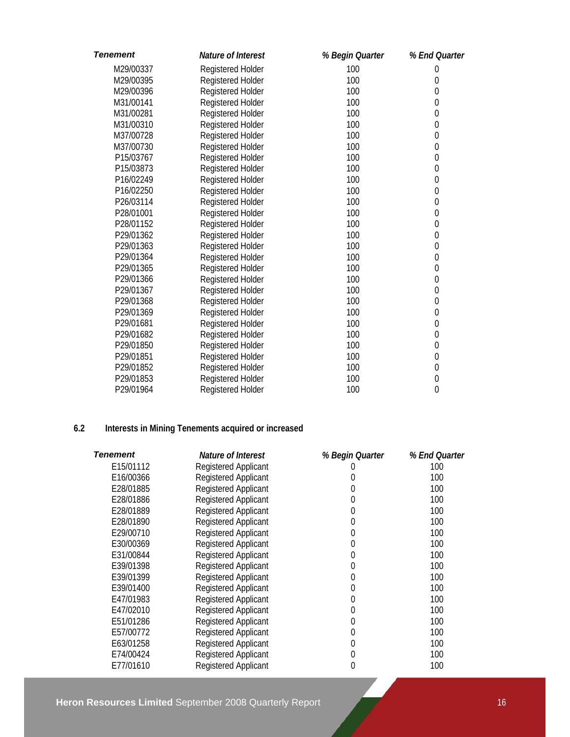| <b>Tenement</b> | Nature of Interest       | % Begin Quarter | % End Quarter    |
|-----------------|--------------------------|-----------------|------------------|
| M29/00337       | Registered Holder        | 100             | $\boldsymbol{0}$ |
| M29/00395       | Registered Holder        | 100             | 0                |
| M29/00396       | Registered Holder        | 100             | $\overline{0}$   |
| M31/00141       | Registered Holder        | 100             | $\overline{0}$   |
| M31/00281       | Registered Holder        | 100             | $\mathbf 0$      |
| M31/00310       | Registered Holder        | 100             | $\mathbf 0$      |
| M37/00728       | Registered Holder        | 100             | $\mathbf 0$      |
| M37/00730       | Registered Holder        | 100             | $\mathbf 0$      |
| P15/03767       | Registered Holder        | 100             | $\boldsymbol{0}$ |
| P15/03873       | Registered Holder        | 100             | $\mathbf 0$      |
| P16/02249       | Registered Holder        | 100             | $\mathbf 0$      |
| P16/02250       | <b>Registered Holder</b> | 100             | $\mathbf 0$      |
| P26/03114       | Registered Holder        | 100             | $\overline{0}$   |
| P28/01001       | Registered Holder        | 100             | $\mathbf 0$      |
| P28/01152       | Registered Holder        | 100             | $\mathbf 0$      |
| P29/01362       | Registered Holder        | 100             | $\boldsymbol{0}$ |
| P29/01363       | Registered Holder        | 100             | $\mathbf 0$      |
| P29/01364       | Registered Holder        | 100             | $\overline{0}$   |
| P29/01365       | <b>Registered Holder</b> | 100             | $\mathbf 0$      |
| P29/01366       | Registered Holder        | 100             | $\mathbf 0$      |
| P29/01367       | Registered Holder        | 100             | $\mathbf 0$      |
| P29/01368       | Registered Holder        | 100             | $\mathbf 0$      |
| P29/01369       | Registered Holder        | 100             | $\mathbf{0}$     |
| P29/01681       | Registered Holder        | 100             | $\mathbf 0$      |
| P29/01682       | Registered Holder        | 100             | $\mathbf 0$      |
| P29/01850       | Registered Holder        | 100             | $\mathbf 0$      |
| P29/01851       | Registered Holder        | 100             | $\mathbf 0$      |
| P29/01852       | Registered Holder        | 100             | $\mathbf 0$      |
| P29/01853       | Registered Holder        | 100             | $\boldsymbol{0}$ |
| P29/01964       | <b>Registered Holder</b> | 100             | $\overline{0}$   |

## **6.2 Interests in Mining Tenements acquired or increased**

| Tenement  | Nature of Interest          | % Begin Quarter | % End Quarter |
|-----------|-----------------------------|-----------------|---------------|
| E15/01112 | <b>Registered Applicant</b> |                 | 100           |
| E16/00366 | Registered Applicant        | 0               | 100           |
| E28/01885 | <b>Registered Applicant</b> | 0               | 100           |
| E28/01886 | <b>Registered Applicant</b> | 0               | 100           |
| E28/01889 | <b>Registered Applicant</b> | 0               | 100           |
| E28/01890 | <b>Registered Applicant</b> | 0               | 100           |
| E29/00710 | Registered Applicant        | 0               | 100           |
| E30/00369 | <b>Registered Applicant</b> | 0               | 100           |
| E31/00844 | Registered Applicant        | 0               | 100           |
| E39/01398 | Registered Applicant        | 0               | 100           |
| E39/01399 | <b>Registered Applicant</b> | 0               | 100           |
| E39/01400 | <b>Registered Applicant</b> | 0               | 100           |
| E47/01983 | <b>Registered Applicant</b> | 0               | 100           |
| E47/02010 | <b>Registered Applicant</b> | 0               | 100           |
| E51/01286 | <b>Registered Applicant</b> | 0               | 100           |
| E57/00772 | <b>Registered Applicant</b> | 0               | 100           |
| E63/01258 | <b>Registered Applicant</b> | 0               | 100           |
| E74/00424 | Registered Applicant        | 0               | 100           |
| E77/01610 | <b>Registered Applicant</b> | 0               | 100           |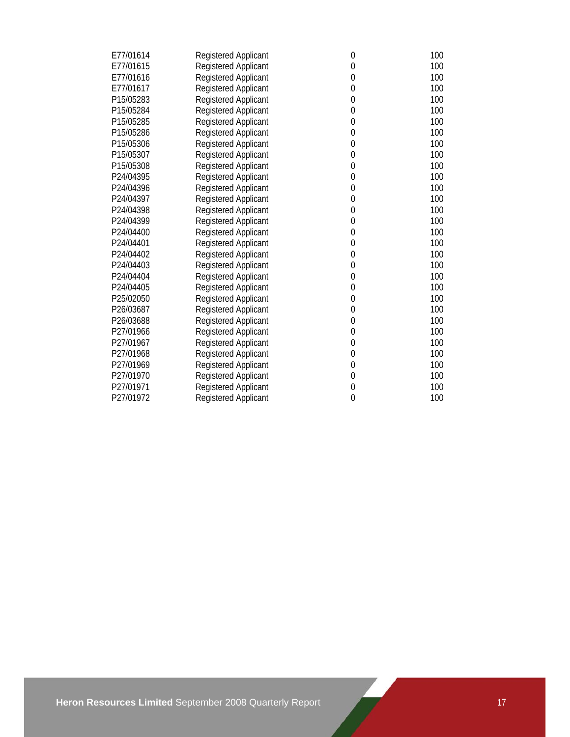| E77/01614 | Registered Applicant        | $\mathbf 0$      | 100 |
|-----------|-----------------------------|------------------|-----|
| E77/01615 | <b>Registered Applicant</b> | $\mathbf{0}$     | 100 |
| E77/01616 | Registered Applicant        | $\boldsymbol{0}$ | 100 |
| E77/01617 | Registered Applicant        | $\mathbf 0$      | 100 |
| P15/05283 | Registered Applicant        | $\mathbf 0$      | 100 |
| P15/05284 | Registered Applicant        | $\mathbf 0$      | 100 |
| P15/05285 | Registered Applicant        | $\mathbf 0$      | 100 |
| P15/05286 | <b>Registered Applicant</b> | $\mathbf 0$      | 100 |
| P15/05306 | Registered Applicant        | $\boldsymbol{0}$ | 100 |
| P15/05307 | Registered Applicant        | $\mathbf 0$      | 100 |
| P15/05308 | Registered Applicant        | $\mathbf 0$      | 100 |
| P24/04395 | Registered Applicant        | $\mathbf 0$      | 100 |
| P24/04396 | Registered Applicant        | $\mathbf 0$      | 100 |
| P24/04397 | <b>Registered Applicant</b> | $\mathbf 0$      | 100 |
| P24/04398 | Registered Applicant        | $\mathbf 0$      | 100 |
| P24/04399 | <b>Registered Applicant</b> | $\boldsymbol{0}$ | 100 |
| P24/04400 | Registered Applicant        | $\boldsymbol{0}$ | 100 |
| P24/04401 | Registered Applicant        | $\mathbf 0$      | 100 |
| P24/04402 | Registered Applicant        | $\mathbf 0$      | 100 |
| P24/04403 | <b>Registered Applicant</b> | $\mathbf 0$      | 100 |
| P24/04404 | <b>Registered Applicant</b> | $\mathbf 0$      | 100 |
| P24/04405 | <b>Registered Applicant</b> | $\boldsymbol{0}$ | 100 |
| P25/02050 | Registered Applicant        | $\boldsymbol{0}$ | 100 |
| P26/03687 | Registered Applicant        | $\mathbf 0$      | 100 |
| P26/03688 | Registered Applicant        | $\mathbf 0$      | 100 |
| P27/01966 | Registered Applicant        | $\mathbf 0$      | 100 |
| P27/01967 | Registered Applicant        | $\mathbf 0$      | 100 |
| P27/01968 | <b>Registered Applicant</b> | $\mathbf 0$      | 100 |
| P27/01969 | Registered Applicant        | $\boldsymbol{0}$ | 100 |
| P27/01970 | Registered Applicant        | $\pmb{0}$        | 100 |
| P27/01971 | <b>Registered Applicant</b> | $\mathbf 0$      | 100 |
| P27/01972 | Registered Applicant        | $\overline{0}$   | 100 |